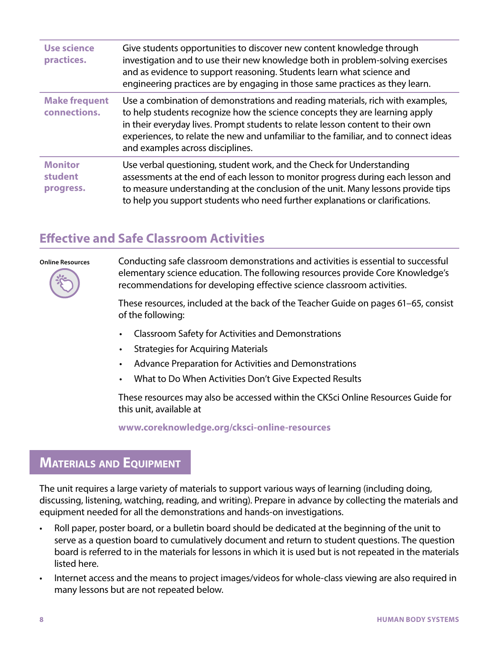| <b>Use science</b><br>practices.       | Give students opportunities to discover new content knowledge through<br>investigation and to use their new knowledge both in problem-solving exercises<br>and as evidence to support reasoning. Students learn what science and<br>engineering practices are by engaging in those same practices as they learn.                                                           |
|----------------------------------------|----------------------------------------------------------------------------------------------------------------------------------------------------------------------------------------------------------------------------------------------------------------------------------------------------------------------------------------------------------------------------|
| <b>Make frequent</b><br>connections.   | Use a combination of demonstrations and reading materials, rich with examples,<br>to help students recognize how the science concepts they are learning apply<br>in their everyday lives. Prompt students to relate lesson content to their own<br>experiences, to relate the new and unfamiliar to the familiar, and to connect ideas<br>and examples across disciplines. |
| <b>Monitor</b><br>student<br>progress. | Use verbal questioning, student work, and the Check for Understanding<br>assessments at the end of each lesson to monitor progress during each lesson and<br>to measure understanding at the conclusion of the unit. Many lessons provide tips<br>to help you support students who need further explanations or clarifications.                                            |

# **Effective and Safe Classroom Activities**

#### **Online Resources**



Conducting safe classroom demonstrations and activities is essential to successful elementary science education. The following resources provide Core Knowledge's recommendations for developing effective science classroom activities.

These resources, included at the back of the Teacher Guide on pages 61–65, consist of the following:

- Classroom Safety for Activities and Demonstrations
- Strategies for Acquiring Materials
- Advance Preparation for Activities and Demonstrations
- What to Do When Activities Don't Give Expected Results

These resources may also be accessed within the CKSci Online Resources Guide for this unit, available at

**www.coreknowledge.org/cksci-online-resources**

# **MATERIALS AND EQUIPMENT**

The unit requires a large variety of materials to support various ways of learning (including doing, discussing, listening, watching, reading, and writing). Prepare in advance by collecting the materials and equipment needed for all the demonstrations and hands-on investigations.

- Roll paper, poster board, or a bulletin board should be dedicated at the beginning of the unit to serve as a question board to cumulatively document and return to student questions. The question board is referred to in the materials for lessons in which it is used but is not repeated in the materials listed here.
- Internet access and the means to project images/videos for whole-class viewing are also required in many lessons but are not repeated below.